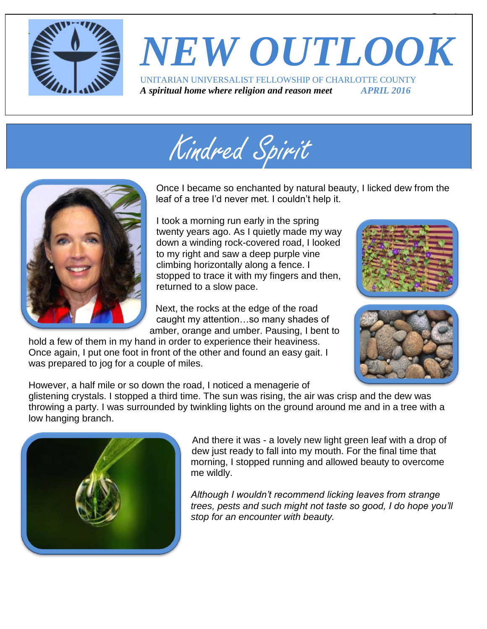

# *NEW OUTLOOK* UNITARIAN UNIVERSALIST FELLOWSHIP OF CHARLOTTE COUNTY

*A spiritual home where religion and reason meet APRIL 2016*





Once I became so enchanted by natural beauty, I licked dew from the leaf of a tree I'd never met. I couldn't help it.

I took a morning run early in the spring twenty years ago. As I quietly made my way down a winding rock-covered road, I looked to my right and saw a deep purple vine climbing horizontally along a fence. I stopped to trace it with my fingers and then, returned to a slow pace.

Next, the rocks at the edge of the road caught my attention…so many shades of amber, orange and umber. Pausing, I bent to

hold a few of them in my hand in order to experience their heaviness. Once again, I put one foot in front of the other and found an easy gait. I was prepared to jog for a couple of miles.



 $\overline{\phantom{a}}$ 



However, a half mile or so down the road, I noticed a menagerie of

glistening crystals. I stopped a third time. The sun was rising, the air was crisp and the dew was throwing a party. I was surrounded by twinkling lights on the ground around me and in a tree with a low hanging branch.



And there it was - a lovely new light green leaf with a drop of dew just ready to fall into my mouth. For the final time that morning, I stopped running and allowed beauty to overcome me wildly.

*Although I wouldn't recommend licking leaves from strange trees, pests and such might not taste so good, I do hope you'll stop for an encounter with beauty.*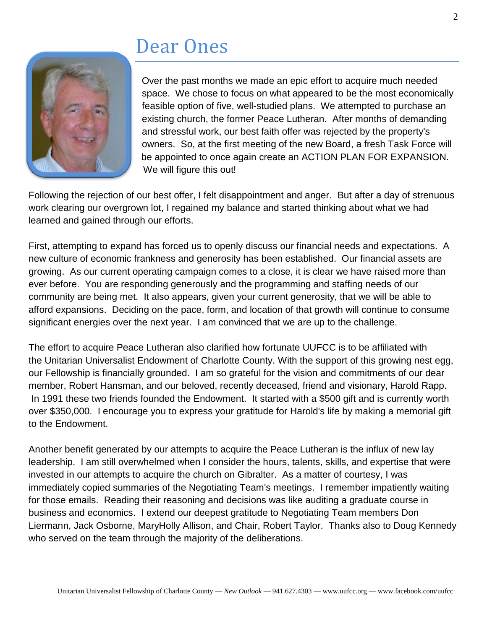### Dear Ones



Over the past months we made an epic effort to acquire much needed space. We chose to focus on what appeared to be the most economically feasible option of five, well-studied plans. We attempted to purchase an existing church, the former Peace Lutheran. After months of demanding and stressful work, our best faith offer was rejected by the property's owners. So, at the first meeting of the new Board, a fresh Task Force will be appointed to once again create an ACTION PLAN FOR EXPANSION. We will figure this out!

Following the rejection of our best offer, I felt disappointment and anger. But after a day of strenuous work clearing our overgrown lot, I regained my balance and started thinking about what we had learned and gained through our efforts.

First, attempting to expand has forced us to openly discuss our financial needs and expectations. A new culture of economic frankness and generosity has been established. Our financial assets are growing. As our current operating campaign comes to a close, it is clear we have raised more than ever before. You are responding generously and the programming and staffing needs of our community are being met. It also appears, given your current generosity, that we will be able to afford expansions. Deciding on the pace, form, and location of that growth will continue to consume significant energies over the next year. I am convinced that we are up to the challenge.

The effort to acquire Peace Lutheran also clarified how fortunate UUFCC is to be affiliated with the Unitarian Universalist Endowment of Charlotte County. With the support of this growing nest egg, our Fellowship is financially grounded. I am so grateful for the vision and commitments of our dear member, Robert Hansman, and our beloved, recently deceased, friend and visionary, Harold Rapp. In 1991 these two friends founded the Endowment. It started with a \$500 gift and is currently worth over \$350,000. I encourage you to express your gratitude for Harold's life by making a memorial gift to the Endowment.

Another benefit generated by our attempts to acquire the Peace Lutheran is the influx of new lay leadership. I am still overwhelmed when I consider the hours, talents, skills, and expertise that were invested in our attempts to acquire the church on Gibralter. As a matter of courtesy, I was immediately copied summaries of the Negotiating Team's meetings. I remember impatiently waiting for those emails. Reading their reasoning and decisions was like auditing a graduate course in business and economics. I extend our deepest gratitude to Negotiating Team members Don Liermann, Jack Osborne, MaryHolly Allison, and Chair, Robert Taylor. Thanks also to Doug Kennedy who served on the team through the majority of the deliberations.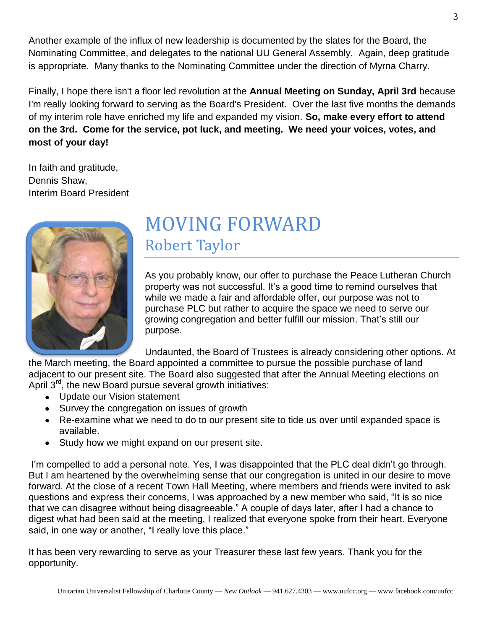Another example of the influx of new leadership is documented by the slates for the Board, the Nominating Committee, and delegates to the national UU General Assembly. Again, deep gratitude is appropriate. Many thanks to the Nominating Committee under the direction of Myrna Charry.

Finally, I hope there isn't a floor led revolution at the **Annual Meeting on Sunday, April 3rd** because I'm really looking forward to serving as the Board's President. Over the last five months the demands of my interim role have enriched my life and expanded my vision. **So, make every effort to attend on the 3rd. Come for the service, pot luck, and meeting. We need your voices, votes, and most of your day!**

In faith and gratitude, Dennis Shaw, Interim Board President



### MOVING FORWARD Robert Taylor

As you probably know, our offer to purchase the Peace Lutheran Church property was not successful. It's a good time to remind ourselves that while we made a fair and affordable offer, our purpose was not to purchase PLC but rather to acquire the space we need to serve our growing congregation and better fulfill our mission. That's still our purpose.

Undaunted, the Board of Trustees is already considering other options. At

the March meeting, the Board appointed a committee to pursue the possible purchase of land adjacent to our present site. The Board also suggested that after the Annual Meeting elections on April  $3^{rd}$ , the new Board pursue several growth initiatives:

- Update our Vision statement
- Survey the congregation on issues of growth
- Re-examine what we need to do to our present site to tide us over until expanded space is available.
- Study how we might expand on our present site.

I'm compelled to add a personal note. Yes, I was disappointed that the PLC deal didn't go through. But I am heartened by the overwhelming sense that our congregation is united in our desire to move forward. At the close of a recent Town Hall Meeting, where members and friends were invited to ask questions and express their concerns, I was approached by a new member who said, "It is so nice that we can disagree without being disagreeable." A couple of days later, after I had a chance to digest what had been said at the meeting, I realized that everyone spoke from their heart. Everyone said, in one way or another, "I really love this place."

It has been very rewarding to serve as your Treasurer these last few years. Thank you for the opportunity.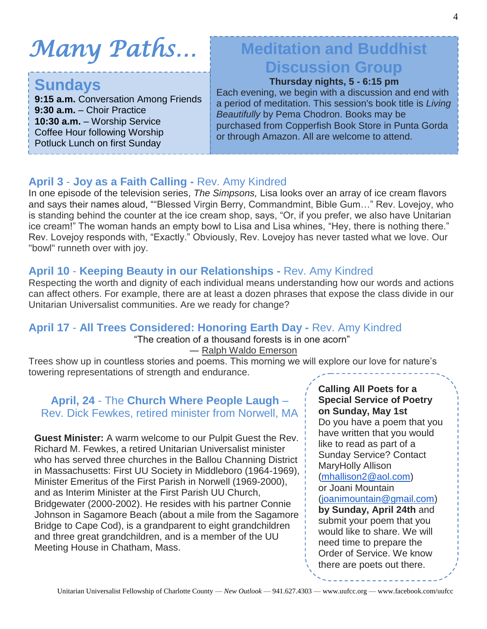# *Many Paths…*

### **Sundays**

**9:15 a.m.** Conversation Among Friends **9:30 a.m.** – Choir Practice **10:30 a.m.** – Worship Service Coffee Hour following Worship Potluck Lunch on first Sunday

### **Meditation and Buddhist Discussion Group**

#### **Thursday nights, 5 - 6:15 pm**

Each evening, we begin with a discussion and end with a period of meditation. This session's book title is *Living Beautifully* by Pema Chodron. Books may be purchased from Copperfish Book Store in Punta Gorda or through Amazon. All are welcome to attend.

#### **April 3** - **Joy as a Faith Calling -** Rev. Amy Kindred

In one episode of the television series, *The Simpsons,* Lisa looks over an array of ice cream flavors and says their names aloud, ""Blessed Virgin Berry, Commandmint, Bible Gum…" Rev. Lovejoy, who is standing behind the counter at the ice cream shop, says, "Or, if you prefer, we also have Unitarian ice cream!" The woman hands an empty bowl to Lisa and Lisa whines, "Hey, there is nothing there." Rev. Lovejoy responds with, "Exactly." Obviously, Rev. Lovejoy has never tasted what we love. Our "bowl" runneth over with joy.

#### **April 10** - **Keeping Beauty in our Relationships -** Rev. Amy Kindred

Respecting the worth and dignity of each individual means understanding how our words and actions can affect others. For example, there are at least a dozen phrases that expose the class divide in our Unitarian Universalist communities. Are we ready for change?

### **April 17** - **All Trees Considered: Honoring Earth Day -** Rev. Amy Kindred

"The creation of a thousand forests is in one acorn"

#### ― [Ralph Waldo Emerson](http://www.goodreads.com/author/show/12080.Ralph_Waldo_Emerson)

Trees show up in countless stories and poems. This morning we will explore our love for nature's towering representations of strength and endurance.

#### **April, 24** - The **Church Where People Laugh** – Rev. Dick Fewkes, retired minister from Norwell, MA

**Guest Minister:** A warm welcome to our Pulpit Guest the Rev. Richard M. Fewkes, a retired Unitarian Universalist minister who has served three churches in the Ballou Channing District in Massachusetts: First UU Society in Middleboro (1964-1969), Minister Emeritus of the First Parish in Norwell (1969-2000), and as Interim Minister at the First Parish UU Church, Bridgewater (2000-2002). He resides with his partner Connie Johnson in Sagamore Beach (about a mile from the Sagamore Bridge to Cape Cod), is a grandparent to eight grandchildren and three great grandchildren, and is a member of the UU Meeting House in Chatham, Mass.

**Calling All Poets for a Special Service of Poetry on Sunday, May 1st** Do you have a poem that you have written that you would like to read as part of a Sunday Service? Contact MaryHolly Allison [\(mhallison2@aol.com\)](mailto:mhallison2@aol.com) or Joani Mountain [\(joanimountain@gmail.com\)](mailto:joanimountain@gmail.com) **by Sunday, April 24th** and submit your poem that you would like to share. We will need time to prepare the Order of Service. We know there are poets out there.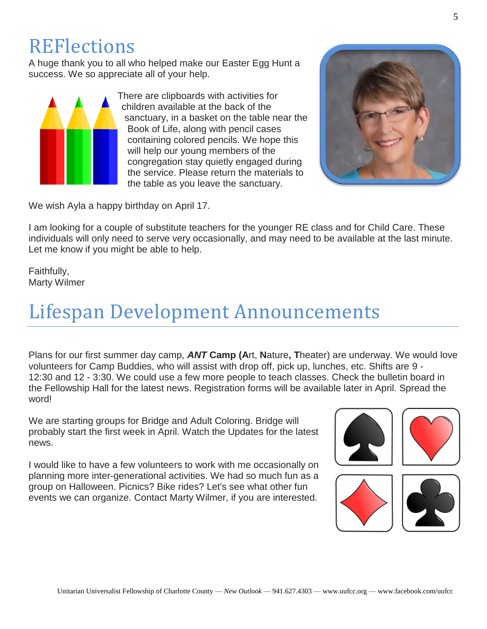### **REFlections**

A huge thank you to all who helped make our Easter Egg Hunt a success. We so appreciate all of your help.



There are clipboards with activities for children available at the back of the sanctuary, in a basket on the table near the Book of Life, along with pencil cases containing colored pencils. We hope this will help our young members of the congregation stay quietly engaged during the service. Please return the materials to the table as you leave the sanctuary.



We wish Ayla a happy birthday on April 17.

I am looking for a couple of substitute teachers for the younger RE class and for Child Care. These individuals will only need to serve very occasionally, and may need to be available at the last minute. Let me know if you might be able to help.

Faithfully, Marty Wilmer

## Lifespan Development Announcements

Plans for our first summer day camp, *ANT* **Camp (A**rt, **N**ature**, T**heater) are underway. We would love volunteers for Camp Buddies, who will assist with drop off, pick up, lunches, etc. Shifts are 9 - 12:30 and 12 - 3:30. We could use a few more people to teach classes. Check the bulletin board in the Fellowship Hall for the latest news. Registration forms will be available later in April. Spread the word!

We are starting groups for Bridge and Adult Coloring. Bridge will probably start the first week in April. Watch the Updates for the latest news.

I would like to have a few volunteers to work with me occasionally on planning more inter-generational activities. We had so much fun as a group on Halloween. Picnics? Bike rides? Let's see what other fun events we can organize. Contact Marty Wilmer, if you are interested.

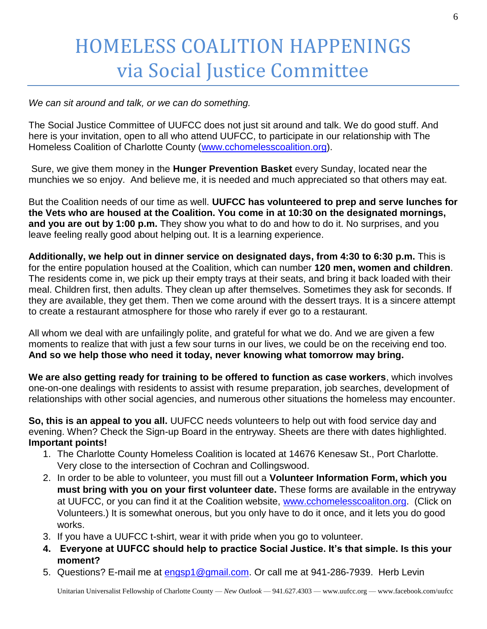## HOMELESS COALITION HAPPENINGS via Social Justice Committee

*We can sit around and talk, or we can do something.*

The Social Justice Committee of UUFCC does not just sit around and talk. We do good stuff. And here is your invitation, open to all who attend UUFCC, to participate in our relationship with The Homeless Coalition of Charlotte County [\(www.cchomelesscoalition.org\)](http://www.cchomelesscoalition.org/).

Sure, we give them money in the **Hunger Prevention Basket** every Sunday, located near the munchies we so enjoy. And believe me, it is needed and much appreciated so that others may eat.

But the Coalition needs of our time as well. **UUFCC has volunteered to prep and serve lunches for the Vets who are housed at the Coalition. You come in at 10:30 on the designated mornings, and you are out by 1:00 p.m.** They show you what to do and how to do it. No surprises, and you leave feeling really good about helping out. It is a learning experience.

**Additionally, we help out in dinner service on designated days, from 4:30 to 6:30 p.m.** This is for the entire population housed at the Coalition, which can number **120 men, women and children**. The residents come in, we pick up their empty trays at their seats, and bring it back loaded with their meal. Children first, then adults. They clean up after themselves. Sometimes they ask for seconds. If they are available, they get them. Then we come around with the dessert trays. It is a sincere attempt to create a restaurant atmosphere for those who rarely if ever go to a restaurant.

All whom we deal with are unfailingly polite, and grateful for what we do. And we are given a few moments to realize that with just a few sour turns in our lives, we could be on the receiving end too. **And so we help those who need it today, never knowing what tomorrow may bring.**

**We are also getting ready for training to be offered to function as case workers**, which involves one-on-one dealings with residents to assist with resume preparation, job searches, development of relationships with other social agencies, and numerous other situations the homeless may encounter.

**So, this is an appeal to you all.** UUFCC needs volunteers to help out with food service day and evening. When? Check the Sign-up Board in the entryway. Sheets are there with dates highlighted. **Important points!**

- 1. The Charlotte County Homeless Coalition is located at 14676 Kenesaw St., Port Charlotte. Very close to the intersection of Cochran and Collingswood.
- 2. In order to be able to volunteer, you must fill out a **Volunteer Information Form, which you must bring with you on your first volunteer date.** These forms are available in the entryway at UUFCC, or you can find it at the Coalition website, [www.cchomelesscoaliton.org.](http://www.cchomelesscoaliton.org/) (Click on Volunteers.) It is somewhat onerous, but you only have to do it once, and it lets you do good works.
- 3. If you have a UUFCC t-shirt, wear it with pride when you go to volunteer.
- **4. Everyone at UUFCC should help to practice Social Justice. It's that simple. Is this your moment?**
- 5. Questions? E-mail me at [engsp1@gmail.com.](mailto:engsp1@gmail.com) Or call me at 941-286-7939. Herb Levin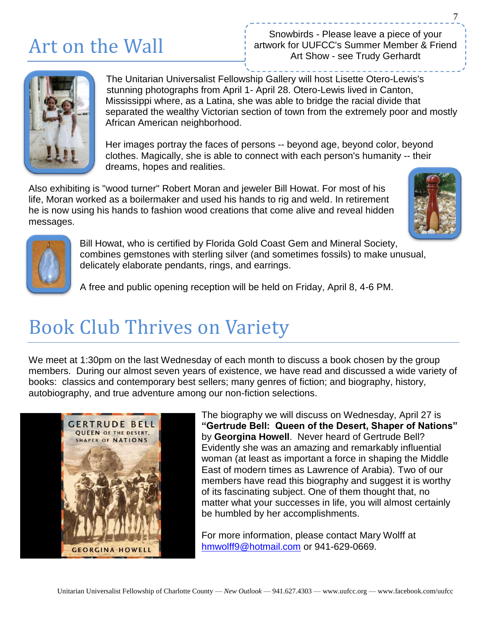## Art on the Wall

Snowbirds - Please leave a piece of your artwork for UUFCC's Summer Member & Friend Art Show - see Trudy Gerhardt



The Unitarian Universalist Fellowship Gallery will host Lisette Otero-Lewis's stunning photographs from April 1- April 28. Otero-Lewis lived in Canton, Mississippi where, as a Latina, she was able to bridge the racial divide that separated the wealthy Victorian section of town from the extremely poor and mostly African American neighborhood.

Her images portray the faces of persons -- beyond age, beyond color, beyond clothes. Magically, she is able to connect with each person's humanity -- their dreams, hopes and realities.

Also exhibiting is "wood turner" Robert Moran and jeweler Bill Howat. For most of his life, Moran worked as a boilermaker and used his hands to rig and weld. In retirement he is now using his hands to fashion wood creations that come alive and reveal hidden messages.





Bill Howat, who is certified by Florida Gold Coast Gem and Mineral Society, combines gemstones with sterling silver (and sometimes fossils) to make unusual, delicately elaborate pendants, rings, and earrings.

A free and public opening reception will be held on Friday, April 8, 4-6 PM.

## Book Club Thrives on Variety

We meet at 1:30pm on the last Wednesday of each month to discuss a book chosen by the group members. During our almost seven years of existence, we have read and discussed a wide variety of books: classics and contemporary best sellers; many genres of fiction; and biography, history, autobiography, and true adventure among our non-fiction selections.



The biography we will discuss on Wednesday, April 27 is **"Gertrude Bell: Queen of the Desert, Shaper of Nations"**  by **Georgina Howell**. Never heard of Gertrude Bell? Evidently she was an amazing and remarkably influential woman (at least as important a force in shaping the Middle East of modern times as Lawrence of Arabia). Two of our members have read this biography and suggest it is worthy of its fascinating subject. One of them thought that, no matter what your successes in life, you will almost certainly be humbled by her accomplishments.

For more information, please contact Mary Wolff at [hmwolff9@hotmail.com](mailto:hmwolff9@hotmail.com) or 941-629-0669.

7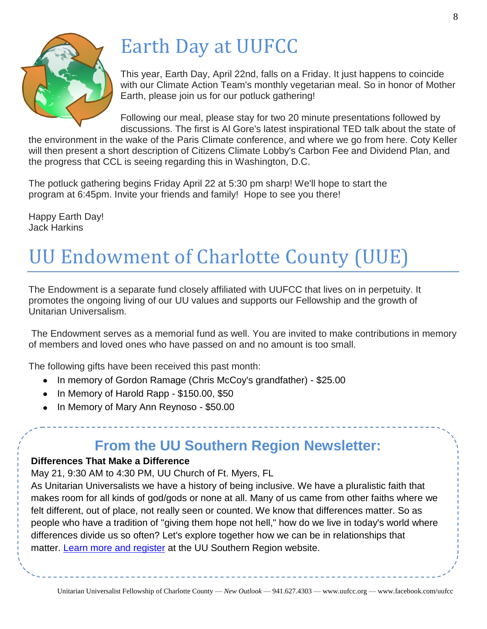

## Earth Day at UUFCC

This year, Earth Day, April 22nd, falls on a Friday. It just happens to coincide with our Climate Action Team's monthly vegetarian meal. So in honor of Mother Earth, please join us for our potluck gathering!

Following our meal, please stay for two 20 minute presentations followed by discussions. The first is Al Gore's latest inspirational TED talk about the state of

the environment in the wake of the Paris Climate conference, and where we go from here. Coty Keller will then present a short description of Citizens Climate Lobby's Carbon Fee and Dividend Plan, and the progress that CCL is seeing regarding this in Washington, D.C.

The potluck gathering begins Friday April 22 at 5:30 pm sharp! We'll hope to start the program at 6:45pm. Invite your friends and family! Hope to see you there!

Happy Earth Day! Jack Harkins

## UU Endowment of Charlotte County (UUE)

The Endowment is a separate fund closely affiliated with UUFCC that lives on in perpetuity. It promotes the ongoing living of our UU values and supports our Fellowship and the growth of Unitarian Universalism.

The Endowment serves as a memorial fund as well. You are invited to make contributions in memory of members and loved ones who have passed on and no amount is too small.

The following gifts have been received this past month:

- In memory of Gordon Ramage (Chris McCoy's grandfather) \$25.00
- In Memory of Harold Rapp \$150.00, \$50
- In Memory of Mary Ann Reynoso \$50.00

### **From the UU Southern Region Newsletter:**

#### **Differences That Make a Difference**

May 21, 9:30 AM to 4:30 PM, UU Church of Ft. Myers, FL

As Unitarian Universalists we have a history of being inclusive. We have a pluralistic faith that makes room for all kinds of god/gods or none at all. Many of us came from other faiths where we felt different, out of place, not really seen or counted. We know that differences matter. So as people who have a tradition of "giving them hope not hell," how do we live in today's world where differences divide us so often? Let's explore together how we can be in relationships that matter. [Learn more and register](http://r20.rs6.net/tn.jsp?f=001W3afASOtddIdUrnpi2BablQchVtW_vwVGvlqsxlN9i4v7ewLV53FwQs1CS5U1p9Zn61uSKtKif5iUgLvAUOhM_jWVBovgfiLEdSkFtoR19PFC5c_-yGo4oWtUdDrGQBYWq4cq7eA9FoJ-geL66JSsuxiG0qSbIwjQ1_yKntx-4aX25ruSd_9cFF9HJ1n-8sB&c=sUWIyqeXH9ptGmO8hLr0rmKDFyYxDr-HrmH21AbtaTok__tmZYJ52w==&ch=tBR5ToU5aU2NWHA7dFYVbfI7_uhsRgJZ2C8hP7B7hRTAeoVfNNZF-g==) at the UU Southern Region website.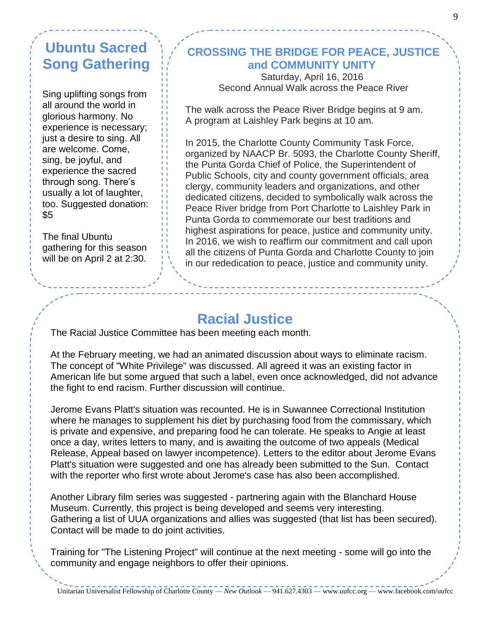### **Ubuntu Sacred Song Gathering**

Sing uplifting songs from all around the world in glorious harmony. No experience is necessary; just a desire to sing. All are welcome. Come, sing, be joyful, and experience the sacred through song. There's usually a lot of laughter, too. Suggested donation:  $$5$ 

The final Ubuntu gathering for this season will be on April 2 at 2:30.

.

#### **CROSSING THE BRIDGE FOR PEACE, JUSTICE and COMMUNITY UNITY**

Saturday, April 16, 2016 Second Annual Walk across the Peace River

The walk across the Peace River Bridge begins at 9 am. A program at Laishley Park begins at 10 am.

In 2015, the Charlotte County Community Task Force, organized by NAACP Br. 5093, the Charlotte County Sheriff, the Punta Gorda Chief of Police, the Superintendent of Public Schools, city and county government officials, area clergy, community leaders and organizations, and other dedicated citizens, decided to symbolically walk across the Peace River bridge from Port Charlotte to Laishley Park in Punta Gorda to commemorate our best traditions and highest aspirations for peace, justice and community unity. In 2016, we wish to reaffirm our commitment and call upon all the citizens of Punta Gorda and Charlotte County to join in our rededication to peace, justice and community unity.

### **Racial Justice**

The Racial Justice Committee has been meeting each month.

At the February meeting, we had an animated discussion about ways to eliminate racism. The concept of "White Privilege" was discussed. All agreed it was an existing factor in American life but some argued that such a label, even once acknowledged, did not advance the fight to end racism. Further discussion will continue.

Jerome Evans Platt's situation was recounted. He is in Suwannee Correctional Institution where he manages to supplement his diet by purchasing food from the commissary, which is private and expensive, and preparing food he can tolerate. He speaks to Angie at least once a day, writes letters to many, and is awaiting the outcome of two appeals (Medical Release, Appeal based on lawyer incompetence). Letters to the editor about Jerome Evans Platt's situation were suggested and one has already been submitted to the Sun. Contact with the reporter who first wrote about Jerome's case has also been accomplished.

Another Library film series was suggested - partnering again with the Blanchard House Museum. Currently, this project is being developed and seems very interesting. Gathering a list of UUA organizations and allies was suggested (that list has been secured). Contact will be made to do joint activities.

Training for "The Listening Project" will continue at the next meeting - some will go into the community and engage neighbors to offer their opinions.